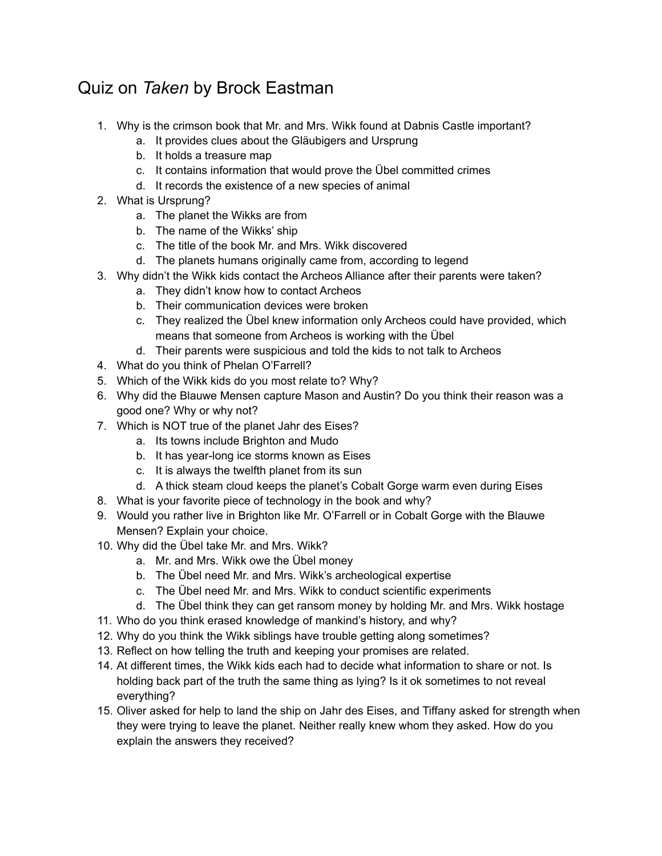## Quiz on *Taken* by Brock Eastman

- 1. Why is the crimson book that Mr. and Mrs. Wikk found at Dabnis Castle important?
	- a. It provides clues about the Gläubigers and Ursprung
	- b. It holds a treasure map
	- c. It contains information that would prove the Übel committed crimes
	- d. It records the existence of a new species of animal
- 2. What is Ursprung?
	- a. The planet the Wikks are from
	- b. The name of the Wikks' ship
	- c. The title of the book Mr. and Mrs. Wikk discovered
	- d. The planets humans originally came from, according to legend
- 3. Why didn't the Wikk kids contact the Archeos Alliance after their parents were taken?
	- a. They didn't know how to contact Archeos
	- b. Their communication devices were broken
	- c. They realized the Übel knew information only Archeos could have provided, which means that someone from Archeos is working with the Übel
	- d. Their parents were suspicious and told the kids to not talk to Archeos
- 4. What do you think of Phelan O'Farrell?
- 5. Which of the Wikk kids do you most relate to? Why?
- 6. Why did the Blauwe Mensen capture Mason and Austin? Do you think their reason was a good one? Why or why not?
- 7. Which is NOT true of the planet Jahr des Eises?
	- a. Its towns include Brighton and Mudo
	- b. It has year-long ice storms known as Eises
	- c. It is always the twelfth planet from its sun
	- d. A thick steam cloud keeps the planet's Cobalt Gorge warm even during Eises
- 8. What is your favorite piece of technology in the book and why?
- 9. Would you rather live in Brighton like Mr. O'Farrell or in Cobalt Gorge with the Blauwe Mensen? Explain your choice.
- 10. Why did the Übel take Mr. and Mrs. Wikk?
	- a. Mr. and Mrs. Wikk owe the Übel money
	- b. The Übel need Mr. and Mrs. Wikk's archeological expertise
	- c. The Übel need Mr. and Mrs. Wikk to conduct scientific experiments
	- d. The Übel think they can get ransom money by holding Mr. and Mrs. Wikk hostage
- 11. Who do you think erased knowledge of mankind's history, and why?
- 12. Why do you think the Wikk siblings have trouble getting along sometimes?
- 13. Reflect on how telling the truth and keeping your promises are related.
- 14. At different times, the Wikk kids each had to decide what information to share or not. Is holding back part of the truth the same thing as lying? Is it ok sometimes to not reveal everything?
- 15. Oliver asked for help to land the ship on Jahr des Eises, and Tiffany asked for strength when they were trying to leave the planet. Neither really knew whom they asked. How do you explain the answers they received?